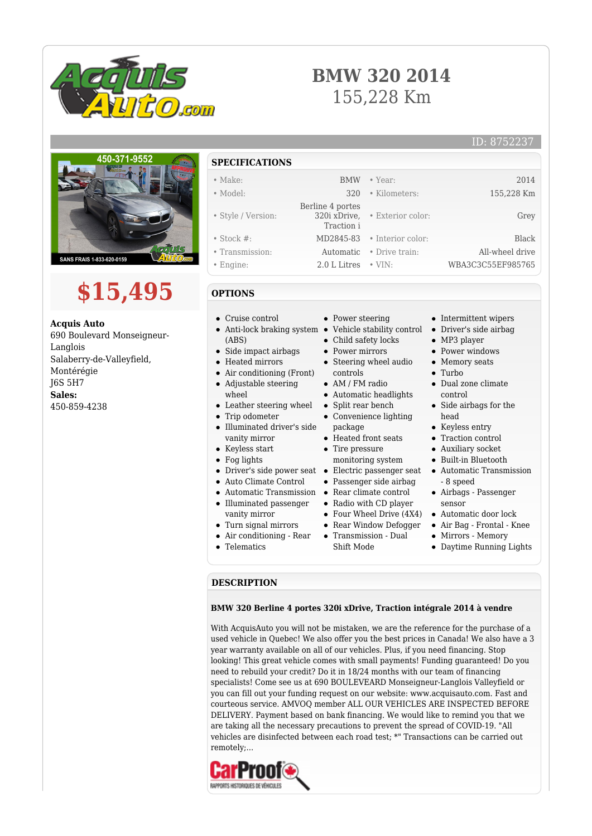

## **BMW 320 2014** 155,228 Km

#### ID: 8752237



# **\$15,495**

**Acquis Auto** 690 Boulevard Monseigneur-Langlois Salaberry-de-Valleyfield, Montérégie J6S 5H7 **Sales:** 450-859-4238

### **SPECIFICATIONS**

| $\bullet$ Make:    |                  | <b>BMW</b> • Year:             | 2014              |
|--------------------|------------------|--------------------------------|-------------------|
| $\bullet$ Model:   | 320              | • Kilometers:                  | 155,228 Km        |
|                    | Berline 4 portes |                                |                   |
| • Style / Version: | Traction i       | 320i xDrive, • Exterior color: | Grey              |
| $\bullet$ Stock #: |                  | MD2845-83 • Interior color:    | Black             |
| • Transmission:    |                  | Automatic • Drive train:       | All-wheel drive   |
| $\bullet$ Engine:  | 2.0 L Litres     | $\bullet$ VIN:                 | WBA3C3C55EF985765 |

#### **OPTIONS**

- Cruise control
- Anti-lock braking system  $\bullet$ (ABS)
	- Side impact airbags
- Heated mirrors
- Air conditioning (Front)  $\bullet$ Adjustable steering
- wheel
- $\bullet~$  Leather steering wheel
- Trip odometer
- Illuminated driver's side vanity mirror
- Keyless start
- Fog lights
- 
- Auto Climate Control
- Automatic Transmission Rear climate control
- Illuminated passenger
- vanity mirror
- Turn signal mirrors
- Air conditioning Rear
- Telematics
- Power steering
- Vehicle stability control
- Child safety locks
- Power mirrors • Steering wheel audio
- controls AM / FM radio
- 
- Automatic headlights  $\bullet~$  Split rear bench
- Convenience lighting
- package
- Heated front seats • Tire pressure
- monitoring system
- Driver's side power seat Electric passenger seat
	- Passenger side airbag
	-
	- Radio with CD player
	- Four Wheel Drive (4X4)
	- Rear Window Defogger
	- Transmission Dual Shift Mode
		-
- Intermittent wipers
- Driver's side airbag
- MP3 player
- Power windows
- Memory seats
- Turbo
- Dual zone climate control
- Side airbags for the head
- Keyless entry
- Traction control
- Auxiliary socket
- Built-in Bluetooth
- Automatic Transmission - 8 speed
- Airbags Passenger sensor
- Automatic door lock
- Air Bag Frontal Knee
- Mirrors Memory
- Daytime Running Lights

#### **DESCRIPTION**

#### **BMW 320 Berline 4 portes 320i xDrive, Traction intégrale 2014 à vendre**

With AcquisAuto you will not be mistaken, we are the reference for the purchase of a used vehicle in Quebec! We also offer you the best prices in Canada! We also have a 3 year warranty available on all of our vehicles. Plus, if you need financing. Stop looking! This great vehicle comes with small payments! Funding guaranteed! Do you need to rebuild your credit? Do it in 18/24 months with our team of financing specialists! Come see us at 690 BOULEVEARD Monseigneur-Langlois Valleyfield or you can fill out your funding request on our website: www.acquisauto.com. Fast and courteous service. AMVOQ member ALL OUR VEHICLES ARE INSPECTED BEFORE DELIVERY. Payment based on bank financing. We would like to remind you that we are taking all the necessary precautions to prevent the spread of COVID-19. "All vehicles are disinfected between each road test; \*" Transactions can be carried out remotely;...